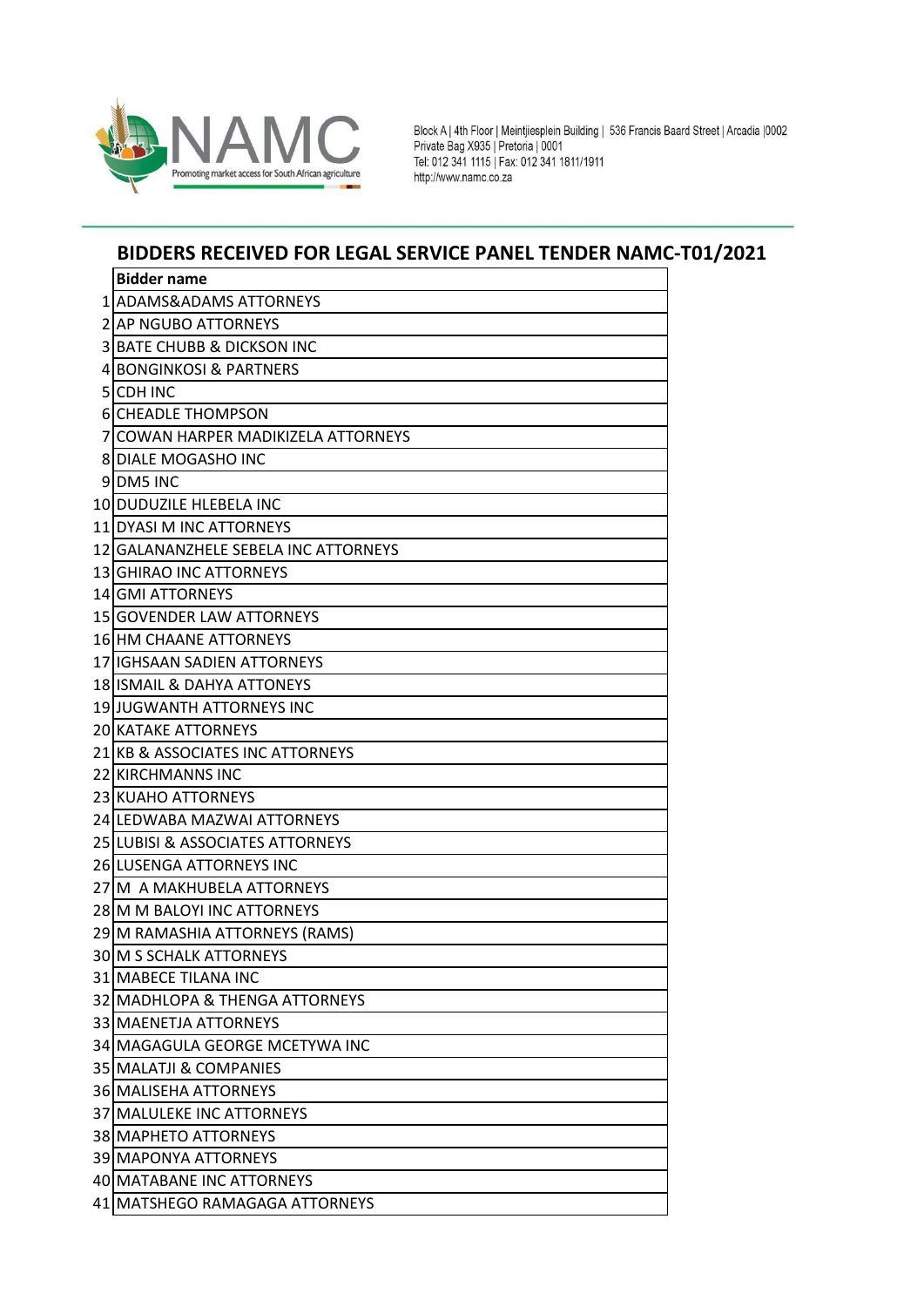

Block A | 4th Floor | Meintjiesplein Building | 536 Francis Baard Street | Arcadia |0002<br>Private Bag X935 | Pretoria | 0001 Tel: 012 341 1115 | Fax: 012 341 1811/1911<br>http://www.namc.co.za

## **BIDDERS RECEIVED FOR LEGAL SERVICE PANEL TENDER NAMC-T01/2021**

|    | <b>Bidder name</b>                       |
|----|------------------------------------------|
| 11 | <b>ADAMS&amp;ADAMS ATTORNEYS</b>         |
|    | <b>2 AP NGUBO ATTORNEYS</b>              |
| 3  | <b>BATE CHUBB &amp; DICKSON INC</b>      |
| 41 | <b>BONGINKOSI &amp; PARTNERS</b>         |
| 5  | <b>CDH INC</b>                           |
|    | <b>6 CHEADLE THOMPSON</b>                |
| 7  | <b>COWAN HARPER MADIKIZELA ATTORNEYS</b> |
| 81 | <b>DIALE MOGASHO INC</b>                 |
|    | 9DM5 INC                                 |
|    | 10 DUDUZILE HLEBELA INC                  |
|    | 11 DYASI M INC ATTORNEYS                 |
|    | 12 GALANANZHELE SEBELA INC ATTORNEYS     |
|    | 13 GHIRAO INC ATTORNEYS                  |
|    | <b>14 GMI ATTORNEYS</b>                  |
|    | 15 GOVENDER LAW ATTORNEYS                |
|    | <b>16 HM CHAANE ATTORNEYS</b>            |
|    | 17 IGHSAAN SADIEN ATTORNEYS              |
|    | 18 ISMAIL & DAHYA ATTONEYS               |
|    | 19 JUGWANTH ATTORNEYS INC                |
|    | <b>20 KATAKE ATTORNEYS</b>               |
|    | 21 KB & ASSOCIATES INC ATTORNEYS         |
|    | 22 KIRCHMANNS INC                        |
|    | 23 KUAHO ATTORNEYS                       |
|    | 24 LEDWABA MAZWAI ATTORNEYS              |
|    | 25 LUBISI & ASSOCIATES ATTORNEYS         |
|    | 26 LUSENGA ATTORNEYS INC                 |
|    | 27 M A MAKHUBELA ATTORNEYS               |
|    | 28 M M BALOYI INC ATTORNEYS              |
|    | 29 M RAMASHIA ATTORNEYS (RAMS)           |
|    | 30 M S SCHALK ATTORNEYS                  |
|    | 31 MABECE TILANA INC                     |
|    | 32 MADHLOPA & THENGA ATTORNEYS           |
|    | 33 MAENETJA ATTORNEYS                    |
|    | 34 MAGAGULA GEORGE MCETYWA INC           |
|    | 35 MALATJI & COMPANIES                   |
|    | <b>36 MALISEHA ATTORNEYS</b>             |
|    | 37 MALULEKE INC ATTORNEYS                |
|    | <b>38 MAPHETO ATTORNEYS</b>              |
|    | <b>39 MAPONYA ATTORNEYS</b>              |
|    | 40 MATABANE INC ATTORNEYS                |
|    | 41   MATSHEGO RAMAGAGA ATTORNEYS         |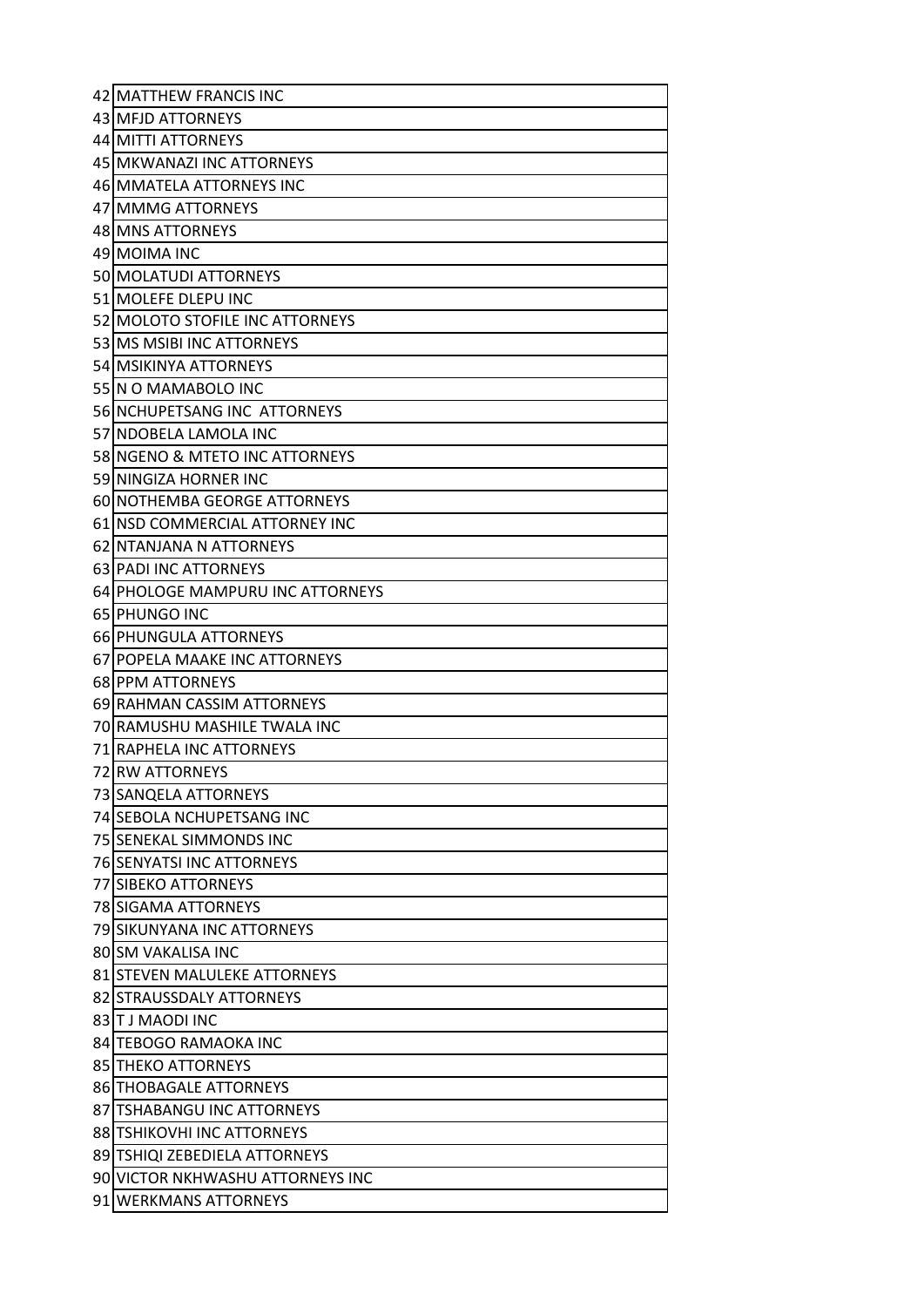| 42 MATTHEW FRANCIS INC           |
|----------------------------------|
| 43 MFJD ATTORNEYS                |
| 44 MITTI ATTORNEYS               |
| 45 MKWANAZI INC ATTORNEYS        |
| 46 MMATELA ATTORNEYS INC         |
| 47 MMMG ATTORNEYS                |
| 48 MNS ATTORNEYS                 |
| 49 MOIMA INC                     |
| 50 MOLATUDI ATTORNEYS            |
| 51 MOLEFE DLEPU INC              |
| 52 MOLOTO STOFILE INC ATTORNEYS  |
| 53 MS MSIBI INC ATTORNEYS        |
| 54 MSIKINYA ATTORNEYS            |
| 55 IN O MAMABOLO INC             |
| 56 NCHUPETSANG INC ATTORNEYS     |
| 57INDOBELA LAMOLA INC            |
| 58 NGENO & MTETO INC ATTORNEYS   |
| 59 NINGIZA HORNER INC            |
| 60 NOTHEMBA GEORGE ATTORNEYS     |
| 61 INSD COMMERCIAL ATTORNEY INC  |
| 62 NTANJANA N ATTORNEYS          |
| 63 PADI INC ATTORNEYS            |
| 64 PHOLOGE MAMPURU INC ATTORNEYS |
| 65 PHUNGO INC                    |
| <b>66IPHUNGULA ATTORNEYS</b>     |
| 67 POPELA MAAKE INC ATTORNEYS    |
| 68 PPM ATTORNEYS                 |
|                                  |
| 69 RAHMAN CASSIM ATTORNEYS       |
| 70 RAMUSHU MASHILE TWALA INC     |
| 71 RAPHELA INC ATTORNEYS         |
| 72 RW ATTORNEYS                  |
| 73 SANQELA ATTORNEYS             |
| 74 SEBOLA NCHUPETSANG INC        |
| 75 SENEKAL SIMMONDS INC          |
| 76 SENYATSI INC ATTORNEYS        |
| 77 SIBEKO ATTORNEYS              |
| <b>78 SIGAMA ATTORNEYS</b>       |
| 79 SIKUNYANA INC ATTORNEYS       |
| 80 SM VAKALISA INC               |
| 81 STEVEN MALULEKE ATTORNEYS     |
| 82 STRAUSSDALY ATTORNEYS         |
| 83 IT J MAODI INC                |
| 84 TEBOGO RAMAOKA INC            |
| <b>85 THEKO ATTORNEYS</b>        |
| <b>86 THOBAGALE ATTORNEYS</b>    |
| 87 TSHABANGU INC ATTORNEYS       |
| 88 TSHIKOVHI INC ATTORNEYS       |
| 89 TSHIQI ZEBEDIELA ATTORNEYS    |
| 90 VICTOR NKHWASHU ATTORNEYS INC |